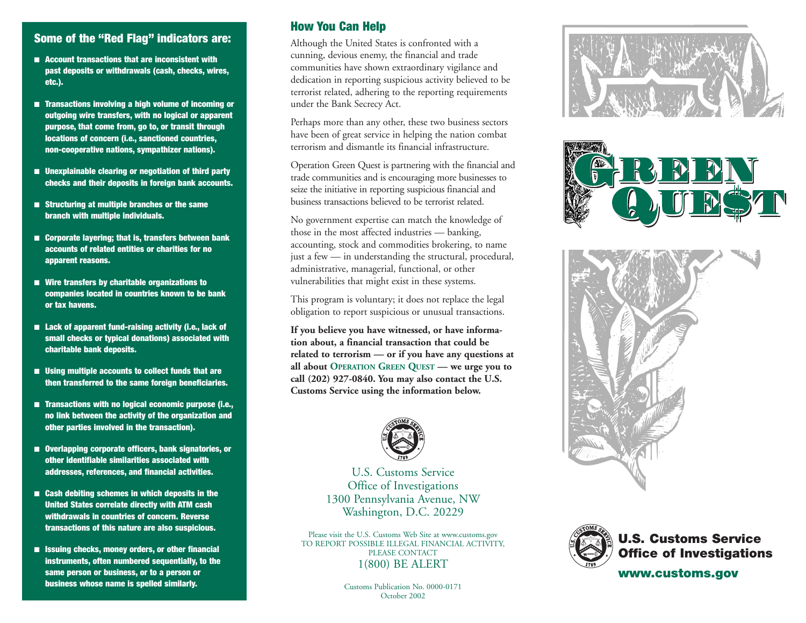## **Some of the "Red Flag" indicators are:**

- **Account transactions that are inconsistent with past deposits or withdrawals (cash, checks, wires, etc.).**
- **Transactions involving a high volume of incoming or outgoing wire transfers, with no logical or apparent purpose, that come from, go to, or transit through locations of concern (i.e., sanctioned countries, non-cooperative nations, sympathizer nations).**
- **Unexplainable clearing or negotiation of third party checks and their deposits in foreign bank accounts.**
- **Structuring at multiple branches or the same branch with multiple individuals.**
- **Corporate layering; that is, transfers between bank accounts of related entities or charities for no apparent reasons.**
- **Wire transfers by charitable organizations to companies located in countries known to be bank or tax havens.**
- **Lack of apparent fund-raising activity (i.e., lack of small checks or typical donations) associated with charitable bank deposits.**
- **Using multiple accounts to collect funds that are then transferred to the same foreign beneficiaries.**
- **Transactions with no logical economic purpose (i.e., no link between the activity of the organization and other parties involved in the transaction).**
- **Overlapping corporate officers, bank signatories, or other identifiable similarities associated with addresses, references, and financial activities.**
- **Cash debiting schemes in which deposits in the United States correlate directly with ATM cash withdrawals in countries of concern. Reverse transactions of this nature are also suspicious.**
- **Issuing checks, money orders, or other financial instruments, often numbered sequentially, to the same person or business, or to a person or business whose name is spelled similarly.**

### **How You Can Help**

Although the United States is confronted with a cunning, devious enemy, the financial and trade communities have shown extraordinary vigilance and dedication in reporting suspicious activity believed to be terrorist related, adhering to the reporting requirements under the Bank Secrecy Act.

Perhaps more than any other, these two business sectors have been of great service in helping the nation combat terrorism and dismantle its financial infrastructure.

Operation Green Quest is partnering with the financial and trade communities and is encouraging more businesses to seize the initiative in reporting suspicious financial and business transactions believed to be terrorist related.

No government expertise can match the knowledge of those in the most affected industries — banking, accounting, stock and commodities brokering, to name just a few — in understanding the structural, procedural, administrative, managerial, functional, or other vulnerabilities that might exist in these systems.

This program is voluntary; it does not replace the legal obligation to report suspicious or unusual transactions.

**If you believe you have witnessed, or have information about, a financial transaction that could be related to terrorism — or if you have any questions at all about OPERATION GREEN QUEST — we urge you to call (202) 927-0840. You may also contact the U.S. Customs Service using the information below.**



U.S. Customs Service Office of Investigations 1300 Pennsylvania Avenue, NW Washington, D.C. 20229

Please visit the U.S. Customs Web Site at www.customs.gov TO REPORT POSSIBLE ILLEGAL FINANCIAL ACTIVITY, PLEASE CONTACT 1(800) BE ALERT







|         | Ly <sub>ill</sub> |
|---------|-------------------|
| ũ<br>Î, |                   |
|         |                   |
|         |                   |
|         |                   |